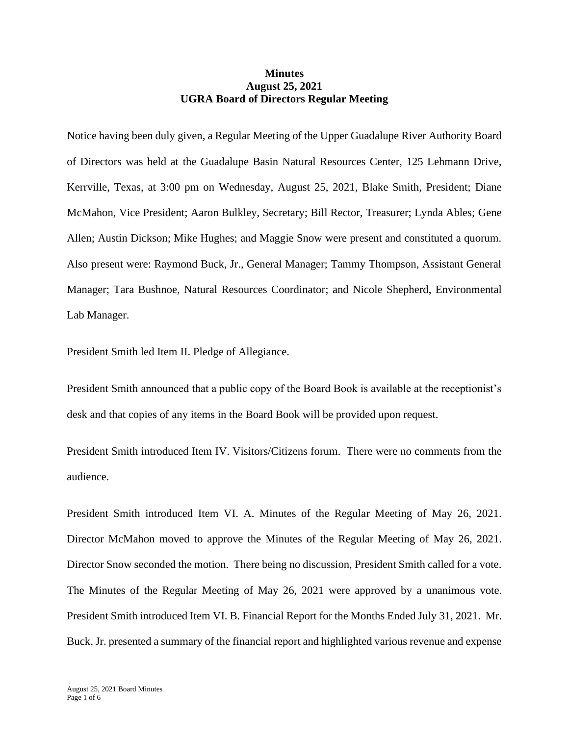## **Minutes August 25, 2021 UGRA Board of Directors Regular Meeting**

Notice having been duly given, a Regular Meeting of the Upper Guadalupe River Authority Board of Directors was held at the Guadalupe Basin Natural Resources Center, 125 Lehmann Drive, Kerrville, Texas, at 3:00 pm on Wednesday, August 25, 2021, Blake Smith, President; Diane McMahon, Vice President; Aaron Bulkley, Secretary; Bill Rector, Treasurer; Lynda Ables; Gene Allen; Austin Dickson; Mike Hughes; and Maggie Snow were present and constituted a quorum. Also present were: Raymond Buck, Jr., General Manager; Tammy Thompson, Assistant General Manager; Tara Bushnoe, Natural Resources Coordinator; and Nicole Shepherd, Environmental Lab Manager.

President Smith led Item II. Pledge of Allegiance.

President Smith announced that a public copy of the Board Book is available at the receptionist's desk and that copies of any items in the Board Book will be provided upon request.

President Smith introduced Item IV. Visitors/Citizens forum. There were no comments from the audience.

President Smith introduced Item VI. A. Minutes of the Regular Meeting of May 26, 2021. Director McMahon moved to approve the Minutes of the Regular Meeting of May 26, 2021. Director Snow seconded the motion. There being no discussion, President Smith called for a vote. The Minutes of the Regular Meeting of May 26, 2021 were approved by a unanimous vote. President Smith introduced Item VI. B. Financial Report for the Months Ended July 31, 2021. Mr. Buck, Jr. presented a summary of the financial report and highlighted various revenue and expense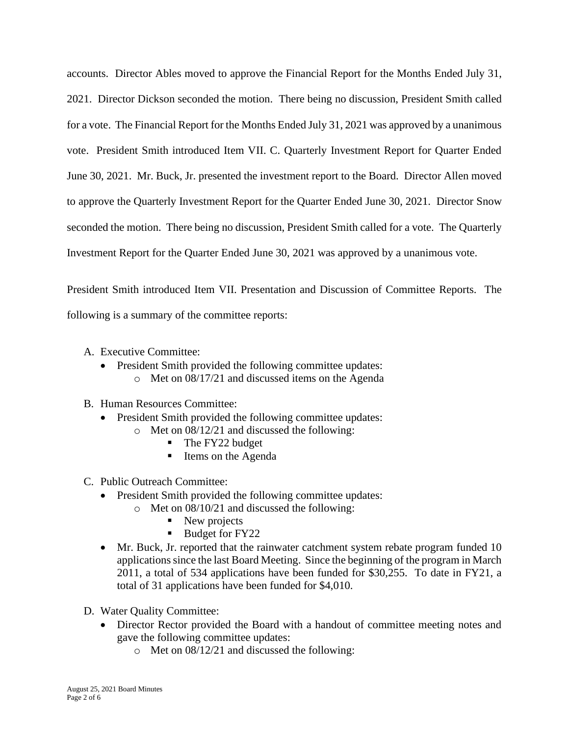accounts. Director Ables moved to approve the Financial Report for the Months Ended July 31, 2021. Director Dickson seconded the motion. There being no discussion, President Smith called for a vote. The Financial Report for the Months Ended July 31, 2021 was approved by a unanimous vote. President Smith introduced Item VII. C. Quarterly Investment Report for Quarter Ended June 30, 2021. Mr. Buck, Jr. presented the investment report to the Board. Director Allen moved to approve the Quarterly Investment Report for the Quarter Ended June 30, 2021. Director Snow seconded the motion. There being no discussion, President Smith called for a vote. The Quarterly Investment Report for the Quarter Ended June 30, 2021 was approved by a unanimous vote.

President Smith introduced Item VII. Presentation and Discussion of Committee Reports. The following is a summary of the committee reports:

- A. Executive Committee:
	- President Smith provided the following committee updates: o Met on 08/17/21 and discussed items on the Agenda

## B. Human Resources Committee:

- President Smith provided the following committee updates:
	- o Met on 08/12/21 and discussed the following:
		- The FY22 budget
		- Items on the Agenda
- C. Public Outreach Committee:
	- President Smith provided the following committee updates:
		- o Met on 08/10/21 and discussed the following:
			- New projects
			- Budget for FY22
	- Mr. Buck, Jr. reported that the rainwater catchment system rebate program funded 10 applications since the last Board Meeting. Since the beginning of the program in March 2011, a total of 534 applications have been funded for \$30,255. To date in FY21, a total of 31 applications have been funded for \$4,010.
- D. Water Quality Committee:
	- Director Rector provided the Board with a handout of committee meeting notes and gave the following committee updates:
		- o Met on 08/12/21 and discussed the following: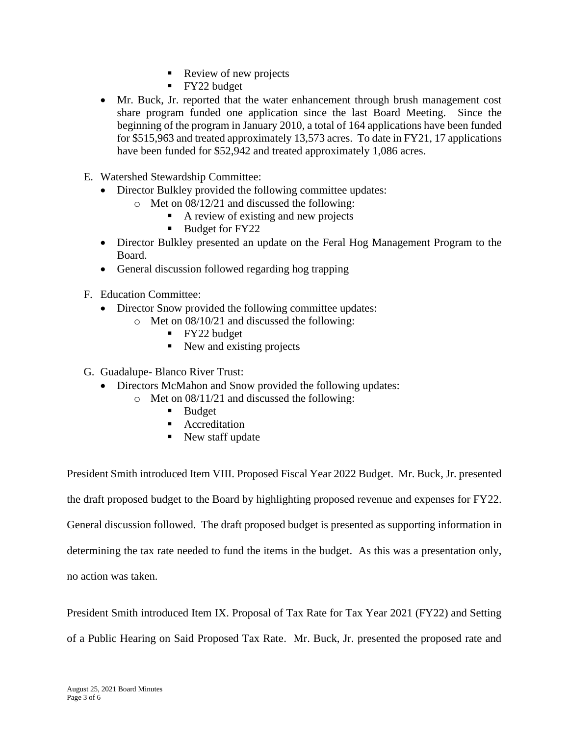- Review of new projects
- **•** FY22 budget
- Mr. Buck, Jr. reported that the water enhancement through brush management cost share program funded one application since the last Board Meeting. Since the beginning of the program in January 2010, a total of 164 applications have been funded for \$515,963 and treated approximately 13,573 acres. To date in FY21, 17 applications have been funded for \$52,942 and treated approximately 1,086 acres.
- E. Watershed Stewardship Committee:
	- Director Bulkley provided the following committee updates:
		- o Met on 08/12/21 and discussed the following:
			- A review of existing and new projects
			- Budget for FY22
	- Director Bulkley presented an update on the Feral Hog Management Program to the Board.
	- General discussion followed regarding hog trapping
- F. Education Committee:
	- Director Snow provided the following committee updates:
		- o Met on 08/10/21 and discussed the following:
			- FY22 budget
			- New and existing projects
- G. Guadalupe- Blanco River Trust:
	- Directors McMahon and Snow provided the following updates:
		- o Met on 08/11/21 and discussed the following:
			- Budget
			- Accreditation
			- New staff update

President Smith introduced Item VIII. Proposed Fiscal Year 2022 Budget. Mr. Buck, Jr. presented

the draft proposed budget to the Board by highlighting proposed revenue and expenses for FY22.

General discussion followed. The draft proposed budget is presented as supporting information in

determining the tax rate needed to fund the items in the budget. As this was a presentation only,

no action was taken.

President Smith introduced Item IX. Proposal of Tax Rate for Tax Year 2021 (FY22) and Setting

of a Public Hearing on Said Proposed Tax Rate. Mr. Buck, Jr. presented the proposed rate and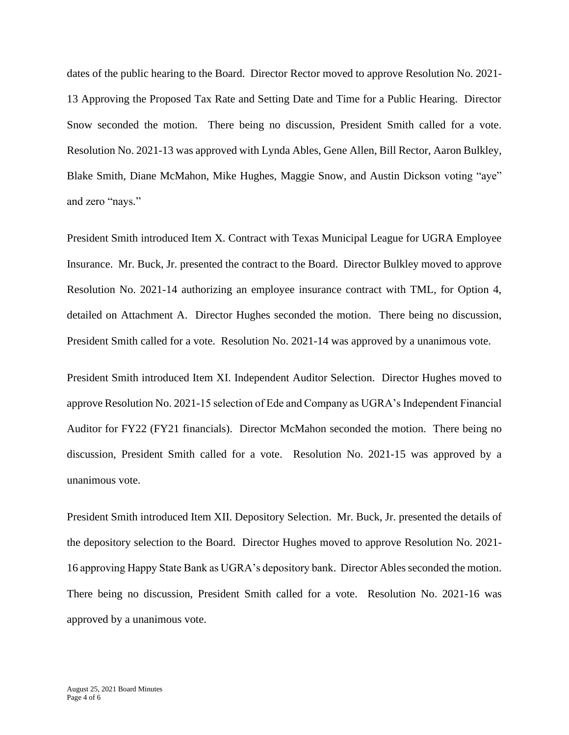dates of the public hearing to the Board. Director Rector moved to approve Resolution No. 2021- 13 Approving the Proposed Tax Rate and Setting Date and Time for a Public Hearing. Director Snow seconded the motion. There being no discussion, President Smith called for a vote. Resolution No. 2021-13 was approved with Lynda Ables, Gene Allen, Bill Rector, Aaron Bulkley, Blake Smith, Diane McMahon, Mike Hughes, Maggie Snow, and Austin Dickson voting "aye" and zero "nays."

President Smith introduced Item X. Contract with Texas Municipal League for UGRA Employee Insurance. Mr. Buck, Jr. presented the contract to the Board. Director Bulkley moved to approve Resolution No. 2021-14 authorizing an employee insurance contract with TML, for Option 4, detailed on Attachment A. Director Hughes seconded the motion. There being no discussion, President Smith called for a vote. Resolution No. 2021-14 was approved by a unanimous vote.

President Smith introduced Item XI. Independent Auditor Selection. Director Hughes moved to approve Resolution No. 2021-15 selection of Ede and Company as UGRA's Independent Financial Auditor for FY22 (FY21 financials). Director McMahon seconded the motion. There being no discussion, President Smith called for a vote. Resolution No. 2021-15 was approved by a unanimous vote.

President Smith introduced Item XII. Depository Selection. Mr. Buck, Jr. presented the details of the depository selection to the Board. Director Hughes moved to approve Resolution No. 2021- 16 approving Happy State Bank as UGRA's depository bank. Director Ables seconded the motion. There being no discussion, President Smith called for a vote. Resolution No. 2021-16 was approved by a unanimous vote.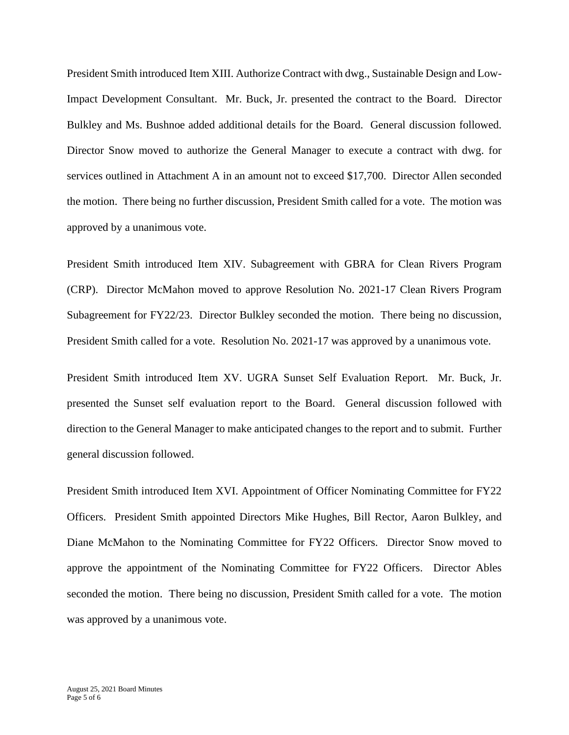President Smith introduced Item XIII. Authorize Contract with dwg., Sustainable Design and Low-Impact Development Consultant. Mr. Buck, Jr. presented the contract to the Board. Director Bulkley and Ms. Bushnoe added additional details for the Board. General discussion followed. Director Snow moved to authorize the General Manager to execute a contract with dwg. for services outlined in Attachment A in an amount not to exceed \$17,700. Director Allen seconded the motion. There being no further discussion, President Smith called for a vote. The motion was approved by a unanimous vote.

President Smith introduced Item XIV. Subagreement with GBRA for Clean Rivers Program (CRP). Director McMahon moved to approve Resolution No. 2021-17 Clean Rivers Program Subagreement for FY22/23. Director Bulkley seconded the motion. There being no discussion, President Smith called for a vote. Resolution No. 2021-17 was approved by a unanimous vote.

President Smith introduced Item XV. UGRA Sunset Self Evaluation Report. Mr. Buck, Jr. presented the Sunset self evaluation report to the Board. General discussion followed with direction to the General Manager to make anticipated changes to the report and to submit. Further general discussion followed.

President Smith introduced Item XVI. Appointment of Officer Nominating Committee for FY22 Officers. President Smith appointed Directors Mike Hughes, Bill Rector, Aaron Bulkley, and Diane McMahon to the Nominating Committee for FY22 Officers. Director Snow moved to approve the appointment of the Nominating Committee for FY22 Officers. Director Ables seconded the motion. There being no discussion, President Smith called for a vote. The motion was approved by a unanimous vote.